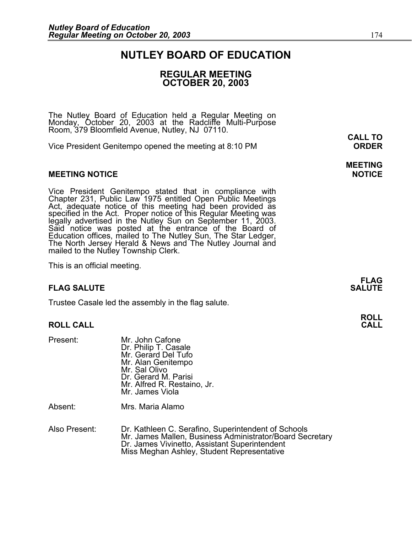### **NUTLEY BOARD OF EDUCATION**

### **REGULAR MEETING OCTOBER 20, 2003**

The Nutley Board of Education held a Regular Meeting on Monday, October 20, 2003 at the Radcliffe Multi-Purpose Room, 379 Bloomfield Avenue, Nutley, NJ 07110.

Vice President Genitempo opened the meeting at 8:10 PM **ORDER**

#### **MEETING NOTICE NOTICE AND INCLUSION CONTROL**

Vice President Genitempo stated that in compliance with Chapter 231, Public Law 1975 entitled Open Public Meetings Act, adequate notice of this meeting had been provided as specified in the Act. Proper notice of this Regular Meeting was<br>legally advertised in the Nutley Sun on September 11, 2003. Said notice was posted at the entrance of the Board of Education offices, mailed to The Nutley Sun, The Star Ledger,<br>The North Jersey Herald & News and The Nutley Journal and<br>mailed to the Nutley Township Clerk.

This is an official meeting.

### **FLAG SALUTE** SALUTE SALUTE SALUTE SALUTE SALUTE SALUTE SALUTE SALUTE SALUTE SALUTE SALUTE SALUTE SALUTE SALUTE SALUTE

Trustee Casale led the assembly in the flag salute.

### **ROLL CALL CALL**

Present: Mr. John Cafone Dr. Philip T. Casale Mr. Gerard Del Tufo Mr. Alan Genitempo Mr. Sal Olivo Dr. Gerard M. Parisi Mr. Alfred R. Restaino, Jr. Mr. James Viola

Absent: Mrs. Maria Alamo

Also Present: Dr. Kathleen C. Serafino, Superintendent of Schools Mr. James Mallen, Business Administrator/Board Secretary<br>Dr. James Vivinetto, Assistant Superintendent<br>Miss Meghan Ashley, Student Representative

**CALL TO** 

## **MEETING**

**FLAG** 

## **ROLL**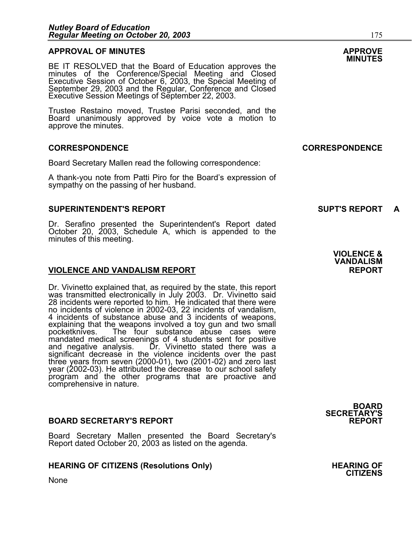### **APPROVAL OF MINUTES APPROVE**

BE IT RESOLVED that the Board of Education approves the<br>minutes of the Conference/Special Meeting and Closed<br>Executive Session of October 6, 2003, the Special Meeting of<br>September 29, 2003 and the Regular, Conference and C Executive Session Meetings of September 22, 2003.

Trustee Restaino moved, Trustee Parisi seconded, and the Board unanimously approved by voice vote a motion to approve the minutes.

#### **CORRESPONDENCE CORRESPONDENCE**

Board Secretary Mallen read the following correspondence:

A thank-you note from Patti Piro for the Board's expression of sympathy on the passing of her husband.

#### **SUPERINTENDENT'S REPORT SUPT'S REPORT A**

Dr. Serafino presented the Superintendent's Report dated October 20, 2003, Schedule A, which is appended to the minutes of this meeting.

#### **VIOLENCE AND VANDALISM REPORT REPORT**

Dr. Vivinetto explained that, as required by the state, this report was transmitted electronically in July 2003. Dr. Vivinetto said<br>28 incidents were reported to him. He indicated that there were 28 incidents were reported to him. He indicated that there were no incidents of violence in 2002-03, 22 incidents of vandalism, 4 incidents of substance abuse and 3 incidents of weapons, explaining that the weapons involved a toy gun and two small<br>pocketknives. The four substance abuse cases were mandated medical screenings of 4 students sent for positive and negative analysis. Dr. Vivinetto stated there was a Dr. Vivinetto stated there was a significant decrease in the violence incidents over the past<br>three years from seven (2000-01), two (2001-02) and zero last year (2002-03). He attributed the decrease to our school safety<br>program and the other programs that are proactive and comprehensive in nature.

#### **BOARD SECRETARY'S REPORT**

None

Board Secretary Mallen presented the Board Secretary's Report dated October 20, 2003 as listed on the agenda.

#### HEARING OF CITIZENS (Resolutions Only) **HEARING OF SEARING** OF

**VIOLENCE & VANDALISM** 

**BOARD SECRETARY'S** 

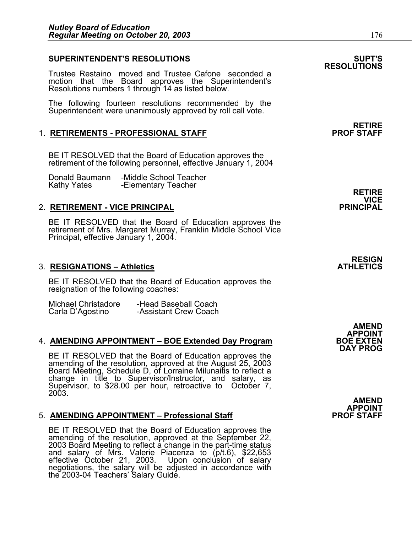٦

### **SUPERINTENDENT'S RESOLUTIONS SUPT'S**

Trustee Restaino moved and Trustee Cafone seconded a motion that the Board approves the Superintendent's Resolutions numbers 1 through 14 as listed below.

The following fourteen resolutions recommended by the Superintendent were unanimously approved by roll call vote.

#### 1. RETIREMENTS - PROFESSIONAL STAFF

BE IT RESOLVED that the Board of Education approves the retirement of the following personnel, effective January 1, 2004

Donald Baumann -Middle School Teacher -Elementary Teacher

#### 2. **RETIREMENT - VICE PRINCIPAL PRINCIPAL**

BE IT RESOLVED that the Board of Education approves the retirement of Mrs. Margaret Murray, Franklin Middle School Vice Principal, effective January 1, 2004.

#### **3. RESIGNATIONS – Athletics**

BE IT RESOLVED that the Board of Education approves the resignation of the following coaches:

| Michael Christadore | -Head Baseball Coach  |
|---------------------|-----------------------|
| Carla D'Agostino    | -Assistant Crew Coach |

#### 4. **AMENDING APPOINTMENT – BOE Extended Day Program**

BE IT RESOLVED that the Board of Education approves the amending of the resolution, approved at the August 25, 2003 Board Meeting, Schedule D, of Lorraine Milunaitis to reflect a change in title to Supervisor/Instructor, a change in title to Supervisor/Instructor, and salary, as<br>Supervisor, to \$28.00 per hour, retroactive to October 7, 2003.

#### **5. AMENDING APPOINTMENT – Professional Staff**

BE IT RESOLVED that the Board of Education approves the<br>amending of the resolution, approved at the September 22,<br>2003 Board Meeting to reflect a change in the part-time status<br>and salary of Mrs. Valerie Piacenza to (p/t.6 negotiations, the salary will be adjusted in accordance with the 2003-04 Teachers' Salary Guide.

## **RESOLUTIONS**

### **RETIRE**<br>PROF STAFF

**RETIRE VICE**<br>PRINCIPAL

## **RESIGN<br>ATHLETICS**

**AMEND APPOINT DAY PROG** 

**AMEND APPOINT**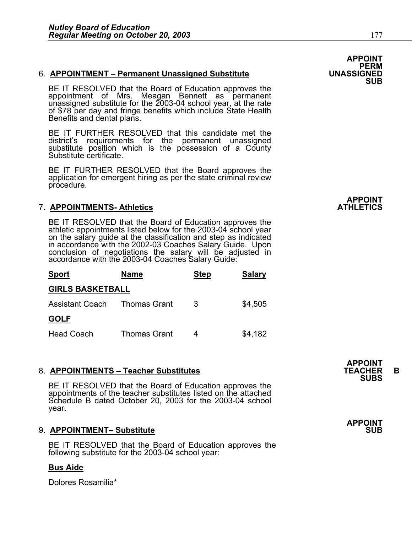BE IT RESOLVED that the Board of Education approves the appointment of Mrs. Meagan Bennett as permanent unassigned substitute for the 2003-04 school year, at the rate of \$78 per day and fringe benefits which include State Benefits and dental plans.

BE IT FURTHER RESOLVED that this candidate met the district's requirements for the permanent unassigned substitute position which is the possession of a County Substitute certificate.

BE IT FURTHER RESOLVED that the Board approves the application for emergent hiring as per the state criminal review procedure.

### **7. APPOINTMENTS- Athletics**

BE IT RESOLVED that the Board of Education approves the athletic appointments listed below for the 2003-04 school year on the salary guide at the classification and step as indicated in accordance with the 2002-03 Coaches Salary Guide. Upon conclusion of negotiations the salary will be adjusted in accordance with the 2003-04 Coaches Salary Guide:

| <b>Sport</b>            | <b>Name</b>         | <b>Step</b> | <b>Salary</b> |
|-------------------------|---------------------|-------------|---------------|
| <b>GIRLS BASKETBALL</b> |                     |             |               |
| Assistant Coach         | Thomas Grant        | 3           | \$4,505       |
| <b>GOLF</b>             |                     |             |               |
| <b>Head Coach</b>       | <b>Thomas Grant</b> |             | \$4,182       |

8. **APPOINTMENTS – Teacher Substitutes**<br>BE IT RESOLVED that the Board of Education approves the<br>BE IT RESOLVED that the Board of Education approves the appointments of the teacher substitutes listed on the attached Schedule B dated October 20, 2003 for the 2003-04 school year.

### 9. APPOINTMENT- Substitute

BE IT RESOLVED that the Board of Education approves the following substitute for the 2003-04 school year:

### **Bus Aide**

Dolores Rosamilia\*

APPOINT<br>PERM<br>UNASSIGNED **SUB**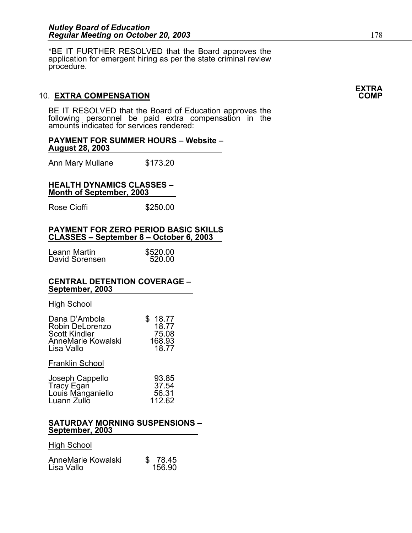\*BE IT FURTHER RESOLVED that the Board approves the application for emergent hiring as per the state criminal review procedure.

### 10. **EXTRA COMPENSATION COMP**

BE IT RESOLVED that the Board of Education approves the following personnel be paid extra compensation in the amounts indicated for services rendered:

**PAYMENT FOR SUMMER HOURS – Website – August 28, 2003**

Ann Mary Mullane \$173.20

#### **HEALTH DYNAMICS CLASSES – Month of September, 2003**

Rose Cioffi **\$250.00** 

#### **PAYMENT FOR ZERO PERIOD BASIC SKILLS CLASSES – September 8 – October 6, 2003**

| Leann Martin   | \$520.00 |
|----------------|----------|
| David Sorensen | 520.00   |

#### **CENTRAL DETENTION COVERAGE – September, 2003**

#### High School

| Dana D'Ambola<br>Robin DeLorenzo<br><b>Scott Kindler</b><br><b>AnneMarie Kowalski</b><br>Lisa Vallo | 18.77<br>18.77<br>75.08<br>168.93<br>18.77 |
|-----------------------------------------------------------------------------------------------------|--------------------------------------------|
| <b>Franklin School</b>                                                                              |                                            |
| Joseph Cappello<br>Tracy Egan<br>Louis Manganiello<br>Luann Zullo                                   | 93.85<br>37.54<br>56.31<br>112.62          |

#### **SATURDAY MORNING SUSPENSIONS – September, 2003**

#### High School

| AnneMarie Kowalski | \$ 78.45 |
|--------------------|----------|
| Lisa Vallo         | 156.90   |

## **EXTRA**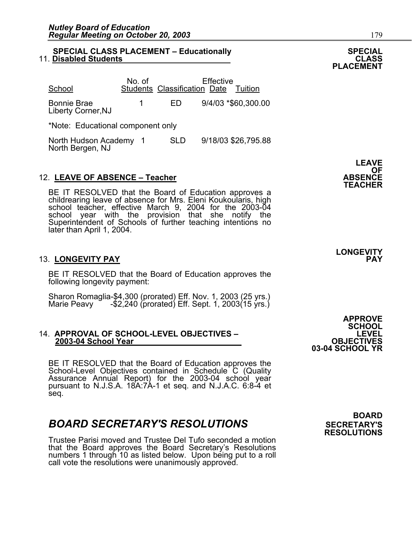#### **SPECIAL CLASS PLACEMENT – Educationally SPECIAL 11. Disabled Students**

| School                                   | No. of |            | Effective<br><b>Students Classification Date</b><br>Tuition |
|------------------------------------------|--------|------------|-------------------------------------------------------------|
| <b>Bonnie Brae</b><br>Liberty Corner, NJ |        | HD.        | 9/4/03 *\$60,300.00                                         |
| *Note: Educational component only        |        |            |                                                             |
| North Hudson Academy<br>North Bergen, NJ |        | <b>SLD</b> | 9/18/03 \$26,795.88                                         |

### 12. **LEAVE OF ABSENCE – Teacher ABSENCE**

BE IT RESOLVED that the Board of Education approves a childrearing leave of absence for Mrs. Eleni Koukoularis, high school teacher, effective March 9, 2004 for the 2003-04 school year with the provision that she notify the Superintendent of Schools of further teaching intentions no later than April 1, 2004.

#### 13. **LONGEVITY PAY PAY**

BE IT RESOLVED that the Board of Education approves the following longevity payment:

Sharon Romaglia-\$4,300 (prorated) Eff. Nov. 1, 2003 (25 yrs.)<br>Marie Peavy - -\$2,240 (prorated) Eff. Sept. 1, 2003(15 yrs.)

## 14. **APPROVAL OF SCHOOL-LEVEL OBJECTIVES – LEVEL 2003-04 School Year OBJECTIVES**

BE IT RESOLVED that the Board of Education approves the<br>School-Level Objectives contained in Schedule C (Quality<br>Assurance Annual Report) for the 2003-04 school year<br>pursuant to N.J.S.A. 18A.7A-1 et seq. and N.J.A.C. 6:8-4 seq.

### **BOARD SECRETARY'S RESOLUTIONS** SECRETARY'S

Trustee Parisi moved and Trustee Del Tufo seconded a motion that the Board approves the Board Secretary's Resolutions numbers 1 through 10 as listed below. Upon being put to a roll call vote the resolutions were unanimously approved.

**APPROVE SCHOOL 03-04 SCHOOL YR** 

 **BOARD RESOLUTIONS** 

**LEAVE**  OF<br>ABSENCE

**PLACEMENT** 

**LONGEVITY**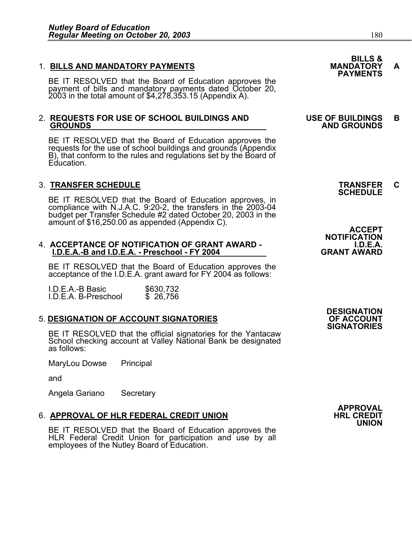1. BILLS AND MANDATORY PAYMENTS<br>BE IT RESOLVED that the Board of Education approves the **PAYMENTS** payment of bills and mandatory payments dated October 20, 2003 in the total amount of \$4,278,353.15 (Appendix A).

## 2. **REQUESTS FOR USE OF SCHOOL BUILDINGS AND USE OF BUILDINGS B GROUNDS AND GROUNDS**

BE IT RESOLVED that the Board of Education approves the requests for the use of school buildings and grounds (Appendix B), that conform to the rules and regulations set by the Board of Education.

3. **TRANSFER SCHEDULE**<br>BE IT RESOLVED that the Board of Education approves, in **SCHEDULE** BE IT RESOLVED that the Board of Education approves, in compliance with N.J.A.C. 9:20-2, the transfers in the 2003-04 budget per Transfer Schedule #2 dated October 20, 2003 in the<br>amount of \$16,250.00 as appended (Appendix C).

## 4. **ACCEPTANCE OF NOTIFICATION OF GRANT AWARD - I.D.E.A. I.D.E.A.-B and I.D.E.A. - Preschool - FY 2004 GRANT AWARD**

BE IT RESOLVED that the Board of Education approves the acceptance of the I.D.E.A. grant award for FY 2004 as follows:

I.D.E.A.-B Basic \$630,732<br>I.D.E.A. B-Preschool \$ 26,756 I.D.E.A. B-Preschool

### **5. DESIGNATION OF ACCOUNT SIGNATORIES**

BE IT RESOLVED that the official signatories for the Yantacaw School checking account at Valley National Bank be designated as follows:

MaryLou Dowse Principal

and

Angela Gariano Secretary

### **6. APPROVAL OF HLR FEDERAL CREDIT UNION**

BE IT RESOLVED that the Board of Education approves the HLR Federal Credit Union for participation and use by all employees of the Nutley Board of Education.

# **BILLS &**

**NOTIFICATION** 

**DESIGNATION SIGNATORIES** 

> **APPROVAL UNION**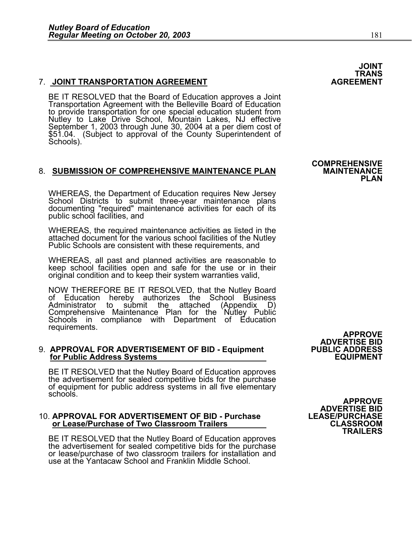### **7. JOINT TRANSPORTATION AGREEMENT**

BE IT RESOLVED that the Board of Education approves a Joint Transportation Agreement with the Belleville Board of Education to provide transportation for one special education student from<br>Nutley to Lake Drive School, Mountain Lakes, NJ effective September 1, 2003 through June 30, 2004 at a per diem cost of<br>\$51.04. (Subject to approval of the County Superintendent of<br>Schools).

### 8. SUBMISSION OF COMPREHENSIVE MAINTENANCE PLAN

WHEREAS, the Department of Education requires New Jersey<br>School Districts to submit three-year maintenance plans<br>documenting "required" maintenance activities for each of its public school facilities, and

WHEREAS, the required maintenance activities as listed in the attached document for the various school facilities of the Nutley Public Schools are consistent with these requirements, and

WHEREAS, all past and planned activities are reasonable to keep school facilities open and safe for the use or in their original condition and to keep their system warranties valid,

NOW THEREFORE BE IT RESOLVED, that the Nutley Board<br>of Education hereby authorizes the School Business<br>Administrator to submit the attached (Appendix D) submit the attached (Appendix D) Comprehensive Maintenance Plan for the Nutley Public Schools in compliance with Department of Education requirements.

## 9. **APPROVAL FOR ADVERTISEMENT OF BID - Equipment PUBLIC ADDRESS for Public Address Systems EQUIPMENT**

BE IT RESOLVED that the Nutley Board of Education approves the advertisement for sealed competitive bids for the purchase of equipment for public address systems in all five elementary schools.

## 10. **APPROVAL FOR ADVERTISEMENT OF BID - Purchase LEASE/PURCHASE or Lease/Purchase of Two Classroom Trailers CLASSROOM**

BE IT RESOLVED that the Nutley Board of Education approves the advertisement for sealed competitive bids for the purchase or lease/purchase of two classroom trailers for installation and use at the Yantacaw School and Franklin Middle School.

**APPROVE ADVERTISE BID TRAILERS** 

**ADVERTISE BID** 

**APPROVE** 

TRANS<br>AGREEMENT

**COMPREHENSIVE PLAN** 

**JOINT**